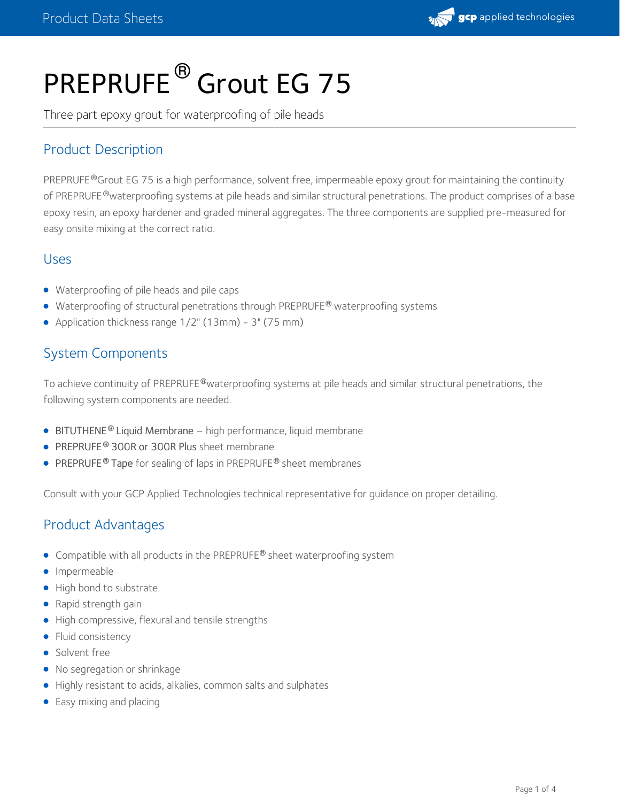

# PREPRUFE<sup>®</sup> Grout EG 75

Three part epoxy grout for waterproofing of pile heads

## Product Description

PREPRUFE®Grout EG 75 is a high performance, solvent free, impermeable epoxy grout for maintaining the continuity of PREPRUFE®waterproofing systems at pile heads and similar structural penetrations. The product comprises of a base epoxy resin, an epoxy hardener and graded mineral aggregates. The three components are supplied pre-measured for easy onsite mixing at the correct ratio.

### Uses

- Waterproofing of pile heads and pile caps
- Waterproofing of structural penetrations through PREPRUFE<sup>®</sup> waterproofing systems
- Application thickness range 1/2" (13mm) 3" (75 mm)

## System Components

To achieve continuity of PREPRUFE®waterproofing systems at pile heads and similar structural penetrations, the following system components are needed.

- **[BITUTHENE](https://ca.gcpat.com/solutions/products/bituthene-post-applied-waterproofing/bituthene-liquid-membrane)<sup>®</sup> Liquid Membrane** high performance, liquid membrane
- [PREPRUFE](https://ca.gcpat.com/solutions/products/preprufe-pre-applied-waterproofing-solutions/preprufe-300r-160r) 300R or [300R](https://ca.gcpat.com/solutions/products/preprufe-pre-applied-waterproofing-solutions/preprufe-300r-plus-160r-plus) Plus sheet membrane **®**
- **[PREPRUFE](https://ca.gcpat.com/solutions/products/preprufe-pre-applied-waterproofing-solutions/preprufe-tape-and-preprufe-cj-tape)<sup>®</sup> Tape** for sealing of laps in PREPRUFE<sup>®</sup> sheet membranes

Consult with your GCP Applied Technologies technical representative for guidance on proper detailing.

## Product Advantages

- Compatible with all products in the PREPRUFE® sheet waterproofing system
- **·** Impermeable
- High bond to substrate
- Rapid strength gain
- High compressive, flexural and tensile strengths
- Fluid consistency
- Solvent free
- No segregation or shrinkage
- Highly resistant to acids, alkalies, common salts and sulphates
- Easy mixing and placing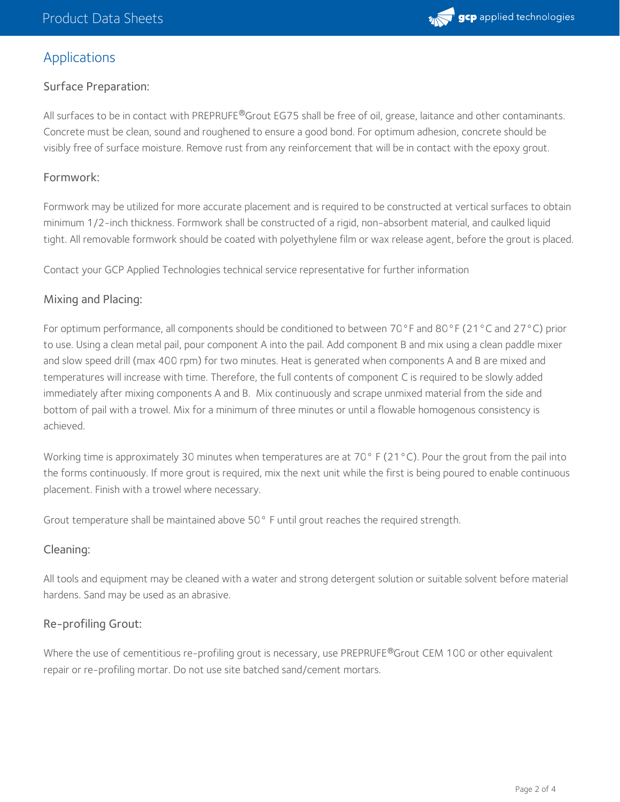

## Applications

#### Surface Preparation:

All surfaces to be in contact with PREPRUFE®Grout EG75 shall be free of oil, grease, laitance and other contaminants. Concrete must be clean, sound and roughened to ensure a good bond. For optimum adhesion, concrete should be visibly free of surface moisture. Remove rust from any reinforcement that will be in contact with the epoxy grout.

#### Formwork:

Formwork may be utilized for more accurate placement and is required to be constructed at vertical surfaces to obtain minimum 1/2-inch thickness. Formwork shall be constructed of a rigid, non-absorbent material, and caulked liquid tight. All removable formwork should be coated with polyethylene film or wax release agent, before the grout is placed.

Contact your GCP Applied Technologies technical service representative for further information

#### Mixing and Placing:

For optimum performance, all components should be conditioned to between 70°F and 80°F (21°C and 27°C) prior to use. Using a clean metal pail, pour component A into the pail. Add component B and mix using a clean paddle mixer and slow speed drill (max 400 rpm) for two minutes. Heat is generated when components A and B are mixed and temperatures will increase with time. Therefore, the full contents of component C is required to be slowly added immediately after mixing components A and B. Mix continuously and scrape unmixed material from the side and bottom of pail with a trowel. Mix for a minimum of three minutes or until a flowable homogenous consistency is achieved.

Working time is approximately 30 minutes when temperatures are at 70 $\degree$  F (21 $\degree$ C). Pour the grout from the pail into the forms continuously. If more grout is required, mix the next unit while the first is being poured to enable continuous placement. Finish with a trowel where necessary.

Grout temperature shall be maintained above 50° F until grout reaches the required strength.

#### Cleaning:

All tools and equipment may be cleaned with a water and strong detergent solution or suitable solvent before material hardens. Sand may be used as an abrasive.

#### Re-profiling Grout:

Where the use of cementitious re-profiling grout is necessary, use PREPRUFE®Grout CEM 100 or other equivalent repair or re-profiling mortar. Do not use site batched sand/cement mortars.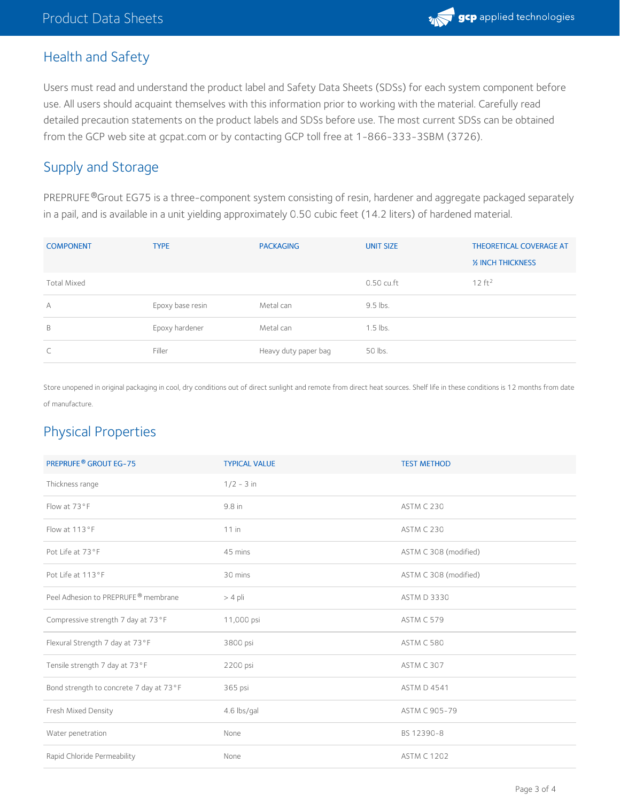## Health and Safety

Users must read and understand the product label and Safety Data Sheets (SDSs) for each system component before use. All users should acquaint themselves with this information prior to working with the material. Carefully read detailed precaution statements on the product labels and SDSs before use. The most current SDSs can be obtained from the GCP web site at gcpat.com or by contacting GCP toll free at 1-866-333-3SBM (3726).

## Supply and Storage

PREPRUFE®Grout EG75 is a three-component system consisting of resin, hardener and aggregate packaged separately in a pail, and is available in a unit yielding approximately 0.50 cubic feet (14.2 liters) of hardened material.

| <b>COMPONENT</b>   | <b>TYPE</b>      | <b>PACKAGING</b>     | <b>UNIT SIZE</b> | <b>THEORETICAL COVERAGE AT</b> |
|--------------------|------------------|----------------------|------------------|--------------------------------|
|                    |                  |                      |                  | <b>1/2 INCH THICKNESS</b>      |
| <b>Total Mixed</b> |                  |                      | 0.50 cu.ft       | 12 ft <sup>2</sup>             |
| А                  | Epoxy base resin | Metal can            | 9.5 lbs.         |                                |
| B                  | Epoxy hardener   | Metal can            | $1.5$ lbs.       |                                |
| C                  | Filler           | Heavy duty paper bag | 50 lbs.          |                                |

Store unopened in original packaging in cool, dry conditions out of direct sunlight and remote from direct heat sources. Shelf life in these conditions is 12 months from date of manufacture.

## Physical Properties

| <b>PREPRUFE® GROUT EG-75</b>                    | <b>TYPICAL VALUE</b> | <b>TEST METHOD</b>    |
|-------------------------------------------------|----------------------|-----------------------|
| Thickness range                                 | $1/2 - 3$ in         |                       |
| Flow at 73°F                                    | 9.8 in               | ASTM C 230            |
| Flow at 113°F                                   | $11$ in              | ASTM C 230            |
| Pot Life at 73°F                                | 45 mins              | ASTM C 308 (modified) |
| Pot Life at 113°F                               | 30 mins              | ASTM C 308 (modified) |
| Peel Adhesion to PREPRUFE <sup>®</sup> membrane | $> 4$ pli            | <b>ASTM D 3330</b>    |
| Compressive strength 7 day at 73°F              | 11,000 psi           | ASTM C 579            |
| Flexural Strength 7 day at 73°F                 | 3800 psi             | <b>ASTM C 580</b>     |
| Tensile strength 7 day at 73°F                  | 2200 psi             | ASTM C 307            |
| Bond strength to concrete 7 day at 73°F         | 365 psi              | <b>ASTM D 4541</b>    |
| Fresh Mixed Density                             | 4.6 lbs/gal          | ASTM C 905-79         |
| Water penetration                               | None                 | BS 12390-8            |
| Rapid Chloride Permeability                     | None                 | <b>ASTM C 1202</b>    |